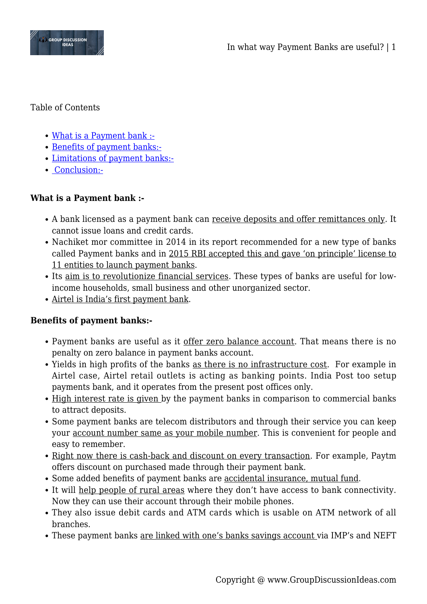

Table of Contents

- [What is a Payment bank :-](#page--1-0)
- [Benefits of payment banks:-](#page--1-0)
- [Limitations of payment banks:-](#page--1-0)
- • [Conclusion:-](#page--1-0)

## **What is a Payment bank :-**

- A bank licensed as a payment bank can receive deposits and offer remittances only. It cannot issue loans and credit cards.
- Nachiket mor committee in 2014 in its report recommended for a new type of banks called Payment banks and in 2015 RBI accepted this and gave 'on principle' license to 11 entities to launch payment banks.
- Its aim is to revolutionize financial services. These types of banks are useful for lowincome households, small business and other unorganized sector.
- Airtel is India's first payment bank.

## **Benefits of payment banks:-**

- Payment banks are useful as it offer zero balance account. That means there is no penalty on zero balance in payment banks account.
- Yields in high profits of the banks as there is no infrastructure cost. For example in Airtel case, Airtel retail outlets is acting as banking points. India Post too setup payments bank, and it operates from the present post offices only.
- High interest rate is given by the payment banks in comparison to commercial banks to attract deposits.
- Some payment banks are telecom distributors and through their service you can keep your account number same as your mobile number. This is convenient for people and easy to remember.
- Right now there is cash-back and discount on every transaction. For example, Paytm offers discount on purchased made through their payment bank.
- Some added benefits of payment banks are accidental insurance, mutual fund.
- It will help people of rural areas where they don't have access to bank connectivity. Now they can use their account through their mobile phones.
- They also issue debit cards and ATM cards which is usable on ATM network of all branches.
- These payment banks <u>are linked with one's banks savings account</u> via IMP's and NEFT